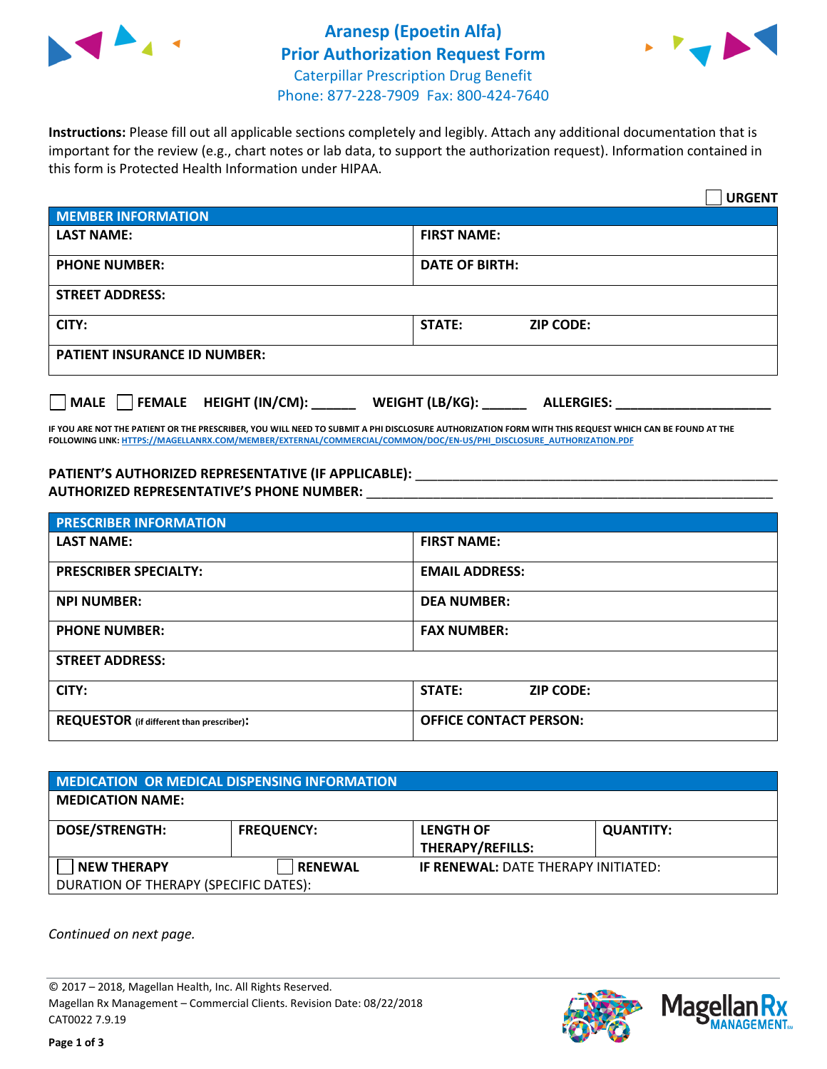



**Instructions:** Please fill out all applicable sections completely and legibly. Attach any additional documentation that is important for the review (e.g., chart notes or lab data, to support the authorization request). Information contained in this form is Protected Health Information under HIPAA.

|                                           | <b>URGENT</b>                          |
|-------------------------------------------|----------------------------------------|
| <b>MEMBER INFORMATION</b>                 |                                        |
| <b>LAST NAME:</b>                         | <b>FIRST NAME:</b>                     |
| <b>PHONE NUMBER:</b>                      | <b>DATE OF BIRTH:</b>                  |
| <b>STREET ADDRESS:</b>                    |                                        |
| CITY:                                     | <b>ZIP CODE:</b><br>STATE:             |
| <b>PATIENT INSURANCE ID NUMBER:</b>       |                                        |
| $\Box$ MALE $\Box$ FEMALE HEIGHT (IN/CM): | WEIGHT (LB/KG): _<br><b>ALLERGIES:</b> |

**IF YOU ARE NOT THE PATIENT OR THE PRESCRIBER, YOU WILL NEED TO SUBMIT A PHI DISCLOSURE AUTHORIZATION FORM WITH THIS REQUEST WHICH CAN BE FOUND AT THE FOLLOWING LINK[: HTTPS://MAGELLANRX.COM/MEMBER/EXTERNAL/COMMERCIAL/COMMON/DOC/EN-US/PHI\\_DISCLOSURE\\_AUTHORIZATION.PDF](https://magellanrx.com/member/external/commercial/common/doc/en-us/PHI_Disclosure_Authorization.pdf)**

PATIENT'S AUTHORIZED REPRESENTATIVE (IF APPLICABLE): \_\_\_\_\_\_\_\_\_\_\_\_\_\_\_\_\_\_\_\_\_\_\_\_\_\_\_ **AUTHORIZED REPRESENTATIVE'S PHONE NUMBER:** \_\_\_\_\_\_\_\_\_\_\_\_\_\_\_\_\_\_\_\_\_\_\_\_\_\_\_\_\_\_\_\_\_\_\_\_\_\_\_\_\_\_\_\_\_\_\_\_\_\_\_\_\_\_\_

| <b>PRESCRIBER INFORMATION</b>             |                               |  |  |
|-------------------------------------------|-------------------------------|--|--|
| <b>LAST NAME:</b>                         | <b>FIRST NAME:</b>            |  |  |
| <b>PRESCRIBER SPECIALTY:</b>              | <b>EMAIL ADDRESS:</b>         |  |  |
| <b>NPI NUMBER:</b>                        | <b>DEA NUMBER:</b>            |  |  |
| <b>PHONE NUMBER:</b>                      | <b>FAX NUMBER:</b>            |  |  |
| <b>STREET ADDRESS:</b>                    |                               |  |  |
| CITY:                                     | STATE:<br><b>ZIP CODE:</b>    |  |  |
| REQUESTOR (if different than prescriber): | <b>OFFICE CONTACT PERSON:</b> |  |  |

| <b>MEDICATION OR MEDICAL DISPENSING INFORMATION</b> |                   |                                            |                  |  |  |
|-----------------------------------------------------|-------------------|--------------------------------------------|------------------|--|--|
| <b>MEDICATION NAME:</b>                             |                   |                                            |                  |  |  |
| <b>DOSE/STRENGTH:</b>                               | <b>FREQUENCY:</b> | <b>LENGTH OF</b>                           | <b>QUANTITY:</b> |  |  |
|                                                     |                   | <b>THERAPY/REFILLS:</b>                    |                  |  |  |
| <b>NEW THERAPY</b>                                  | <b>RENEWAL</b>    | <b>IF RENEWAL: DATE THERAPY INITIATED:</b> |                  |  |  |
| DURATION OF THERAPY (SPECIFIC DATES):               |                   |                                            |                  |  |  |

*Continued on next page.*

© 2017 – 2018, Magellan Health, Inc. All Rights Reserved. Magellan Rx Management – Commercial Clients. Revision Date: 08/22/2018 CAT0022 7.9.19



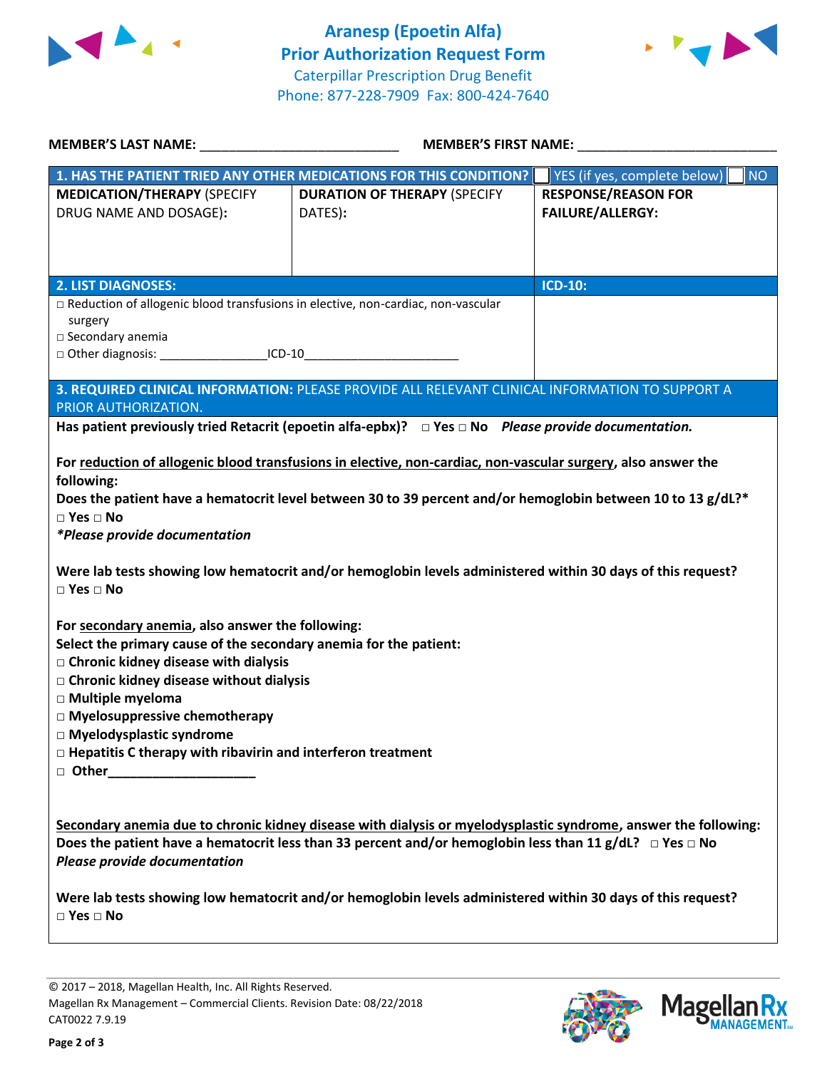



| MEMBER'S LAST NAME:                                                                                                                                                                                                                                                                                                                                                                                         | <b>MEMBER'S FIRST NAME:</b>                                                                                                                                                                                                                                                                                                                         |                                                       |  |
|-------------------------------------------------------------------------------------------------------------------------------------------------------------------------------------------------------------------------------------------------------------------------------------------------------------------------------------------------------------------------------------------------------------|-----------------------------------------------------------------------------------------------------------------------------------------------------------------------------------------------------------------------------------------------------------------------------------------------------------------------------------------------------|-------------------------------------------------------|--|
|                                                                                                                                                                                                                                                                                                                                                                                                             | 1. HAS THE PATIENT TRIED ANY OTHER MEDICATIONS FOR THIS CONDITION?                                                                                                                                                                                                                                                                                  | YES (if yes, complete below)<br><b>NO</b>             |  |
| <b>MEDICATION/THERAPY (SPECIFY</b><br>DRUG NAME AND DOSAGE):                                                                                                                                                                                                                                                                                                                                                | <b>DURATION OF THERAPY (SPECIFY</b><br>DATES):                                                                                                                                                                                                                                                                                                      | <b>RESPONSE/REASON FOR</b><br><b>FAILURE/ALLERGY:</b> |  |
| <b>2. LIST DIAGNOSES:</b>                                                                                                                                                                                                                                                                                                                                                                                   |                                                                                                                                                                                                                                                                                                                                                     | <b>ICD-10:</b>                                        |  |
| □ Reduction of allogenic blood transfusions in elective, non-cardiac, non-vascular<br>surgery<br>□ Secondary anemia<br>□ Other diagnosis: _______________________ICD-10_______________________________                                                                                                                                                                                                      | 3. REQUIRED CLINICAL INFORMATION: PLEASE PROVIDE ALL RELEVANT CLINICAL INFORMATION TO SUPPORT A                                                                                                                                                                                                                                                     |                                                       |  |
| PRIOR AUTHORIZATION.                                                                                                                                                                                                                                                                                                                                                                                        |                                                                                                                                                                                                                                                                                                                                                     |                                                       |  |
|                                                                                                                                                                                                                                                                                                                                                                                                             | Has patient previously tried Retacrit (epoetin alfa-epbx)? $\Box$ Yes $\Box$ No Please provide documentation.                                                                                                                                                                                                                                       |                                                       |  |
| following:<br>$\square$ Yes $\square$ No<br>*Please provide documentation<br>$\square$ Yes $\square$ No                                                                                                                                                                                                                                                                                                     | For reduction of allogenic blood transfusions in elective, non-cardiac, non-vascular surgery, also answer the<br>Does the patient have a hematocrit level between 30 to 39 percent and/or hemoglobin between 10 to 13 g/dL?*<br>Were lab tests showing low hematocrit and/or hemoglobin levels administered within 30 days of this request?         |                                                       |  |
| For secondary anemia, also answer the following:<br>Select the primary cause of the secondary anemia for the patient:<br>□ Chronic kidney disease with dialysis<br>□ Chronic kidney disease without dialysis<br>□ Multiple myeloma<br>□ Myelosuppressive chemotherapy<br>□ Myelodysplastic syndrome<br>$\Box$ Hepatitis C therapy with ribavirin and interferon treatment<br>□ Other_______________________ |                                                                                                                                                                                                                                                                                                                                                     |                                                       |  |
| <b>Please provide documentation</b>                                                                                                                                                                                                                                                                                                                                                                         | Secondary anemia due to chronic kidney disease with dialysis or myelodysplastic syndrome, answer the following:<br>Does the patient have a hematocrit less than 33 percent and/or hemoglobin less than 11 g/dL? $\Box$ Yes $\Box$ No<br>Were lab tests showing low hematocrit and/or hemoglobin levels administered within 30 days of this request? |                                                       |  |
| $\Box$ Yes $\Box$ No                                                                                                                                                                                                                                                                                                                                                                                        |                                                                                                                                                                                                                                                                                                                                                     |                                                       |  |

© 2017 – 2018, Magellan Health, Inc. All Rights Reserved. Magellan Rx Management – Commercial Clients. Revision Date: 08/22/2018 CAT0022 7.9.19